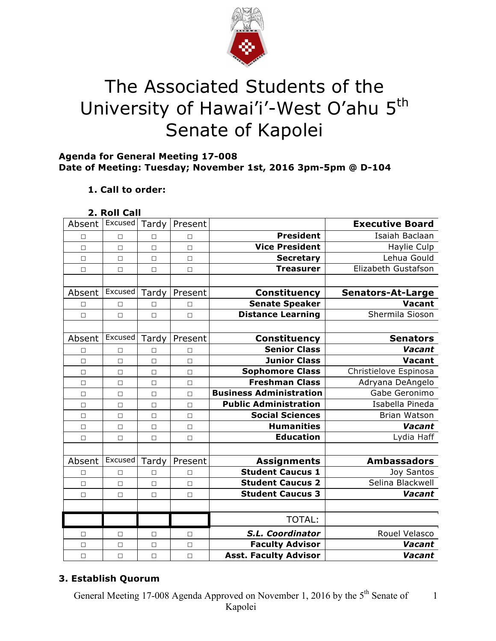

# The Associated Students of the University of Hawai'i'-West O'ahu 5<sup>th</sup> Senate of Kapolei

# **Agenda for General Meeting 17-008 Date of Meeting: Tuesday; November 1st, 2016 3pm-5pm @ D-104**

# **1. Call to order:**

## **2. Roll Call**

| Absent | Excused | Tardy  | Present |                                | <b>Executive Board</b>   |
|--------|---------|--------|---------|--------------------------------|--------------------------|
| П      | $\Box$  | $\Box$ | П       | <b>President</b>               | Isaiah Baclaan           |
| П      | $\Box$  | $\Box$ | $\Box$  | <b>Vice President</b>          | Haylie Culp              |
| $\Box$ | $\Box$  | $\Box$ | $\Box$  | <b>Secretary</b>               | Lehua Gould              |
| $\Box$ | $\Box$  | $\Box$ | $\Box$  | <b>Treasurer</b>               | Elizabeth Gustafson      |
|        |         |        |         |                                |                          |
| Absent | Excused | Tardy  | Present | <b>Constituency</b>            | <b>Senators-At-Large</b> |
| П      | $\Box$  | П      | П       | <b>Senate Speaker</b>          | <b>Vacant</b>            |
| $\Box$ | $\Box$  | $\Box$ | $\Box$  | <b>Distance Learning</b>       | Shermila Sioson          |
|        |         |        |         |                                |                          |
| Absent | Excused | Tardy  | Present | <b>Constituency</b>            | <b>Senators</b>          |
| □      | $\Box$  | П      | П       | <b>Senior Class</b>            | Vacant                   |
| $\Box$ | $\Box$  | $\Box$ | $\Box$  | <b>Junior Class</b>            | Vacant                   |
| $\Box$ | $\Box$  | $\Box$ | $\Box$  | <b>Sophomore Class</b>         | Christielove Espinosa    |
| $\Box$ | $\Box$  | $\Box$ | $\Box$  | <b>Freshman Class</b>          | Adryana DeAngelo         |
| $\Box$ | $\Box$  | $\Box$ | $\Box$  | <b>Business Administration</b> | Gabe Geronimo            |
| $\Box$ | $\Box$  | $\Box$ | $\Box$  | <b>Public Administration</b>   | Isabella Pineda          |
| $\Box$ | $\Box$  | $\Box$ | $\Box$  | <b>Social Sciences</b>         | Brian Watson             |
| $\Box$ | $\Box$  | $\Box$ | $\Box$  | <b>Humanities</b>              | Vacant                   |
| $\Box$ | $\Box$  | $\Box$ | $\Box$  | <b>Education</b>               | Lydia Haff               |
|        |         |        |         |                                |                          |
| Absent | Excused | Tardy  | Present | <b>Assignments</b>             | <b>Ambassadors</b>       |
| $\Box$ | $\Box$  | $\Box$ | $\Box$  | <b>Student Caucus 1</b>        | Joy Santos               |
| $\Box$ | $\Box$  | $\Box$ | $\Box$  | <b>Student Caucus 2</b>        | Selina Blackwell         |
| $\Box$ | $\Box$  | $\Box$ | $\Box$  | <b>Student Caucus 3</b>        | Vacant                   |
|        |         |        |         |                                |                          |
|        |         |        |         | <b>TOTAL:</b>                  |                          |
| □      | □       | □      | $\Box$  | S.L. Coordinator               | Rouel Velasco            |
| $\Box$ | $\Box$  | $\Box$ | $\Box$  | <b>Faculty Advisor</b>         | Vacant                   |
| $\Box$ | $\Box$  | $\Box$ | $\Box$  | <b>Asst. Faculty Advisor</b>   | Vacant                   |

# **3. Establish Quorum**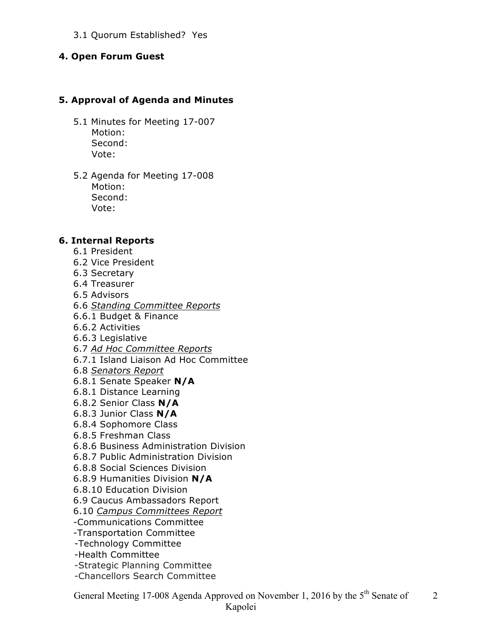### 3.1 Quorum Established? Yes

#### **4. Open Forum Guest**

#### **5. Approval of Agenda and Minutes**

- 5.1 Minutes for Meeting 17-007 Motion: Second: Vote:
- 5.2 Agenda for Meeting 17-008 Motion: Second: Vote:

#### **6. Internal Reports**

- 6.1 President
- 6.2 Vice President
- 6.3 Secretary
- 6.4 Treasurer
- 6.5 Advisors
- 6.6 *Standing Committee Reports*
- 6.6.1 Budget & Finance
- 6.6.2 Activities
- 6.6.3 Legislative
- 6.7 *Ad Hoc Committee Reports*
- 6.7.1 Island Liaison Ad Hoc Committee
- 6.8 *Senators Report*
- 6.8.1 Senate Speaker **N/A**
- 6.8.1 Distance Learning
- 6.8.2 Senior Class **N/A**
- 6.8.3 Junior Class **N/A**
- 6.8.4 Sophomore Class
- 6.8.5 Freshman Class
- 6.8.6 Business Administration Division
- 6.8.7 Public Administration Division
- 6.8.8 Social Sciences Division
- 6.8.9 Humanities Division **N/A**
- 6.8.10 Education Division
- 6.9 Caucus Ambassadors Report
- 6.10 *Campus Committees Report*
- -Communications Committee
- -Transportation Committee
- -Technology Committee
- -Health Committee
- -Strategic Planning Committee
- -Chancellors Search Committee

General Meeting 17-008 Agenda Approved on November 1, 2016 by the 5<sup>th</sup> Senate of 2